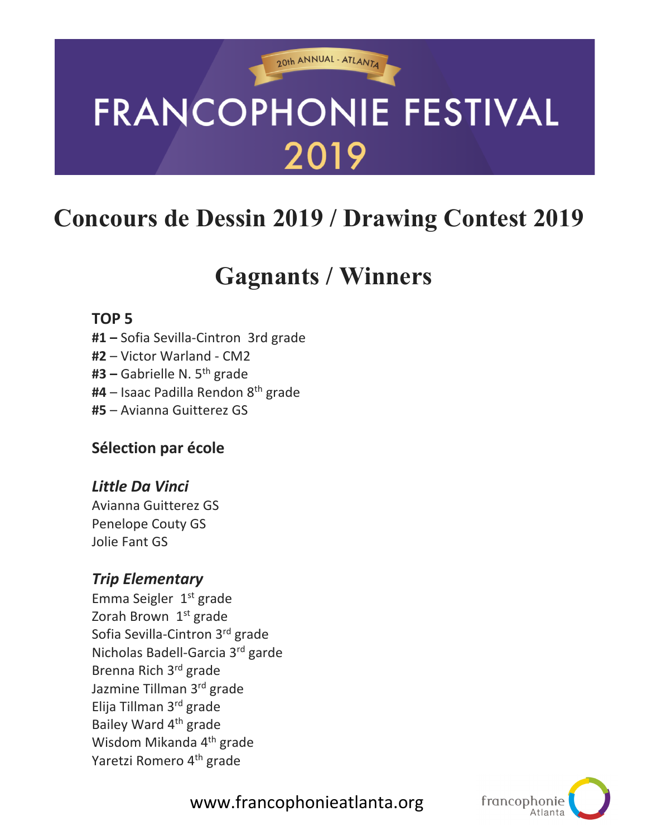# **FRANCOPHONIE FESTIVAL** 2019

20th ANNUAL - ATLANTA

# **Concours de Dessin 2019 / Drawing Contest 2019**

# **Gagnants / Winners**

#### **TOP 5**

- **#1 –** Sofia Sevilla-Cintron 3rd grade
- **#2** Victor Warland CM2
- **#3 –** Gabrielle N. 5th grade
- **#4** Isaac Padilla Rendon 8th grade
- **#5** Avianna Guitterez GS

# **Sélection par école**

#### *Little Da Vinci*

Avianna Guitterez GS Penelope Couty GS Jolie Fant GS

# *Trip Elementary*

Emma Seigler  $1<sup>st</sup>$  grade Zorah Brown 1<sup>st</sup> grade Sofia Sevilla-Cintron 3rd grade Nicholas Badell-Garcia 3rd garde Brenna Rich 3rd grade Jazmine Tillman 3rd grade Elija Tillman 3rd grade Bailey Ward 4th grade Wisdom Mikanda 4<sup>th</sup> grade Yaretzi Romero 4<sup>th</sup> grade



www.francophonieatlanta.org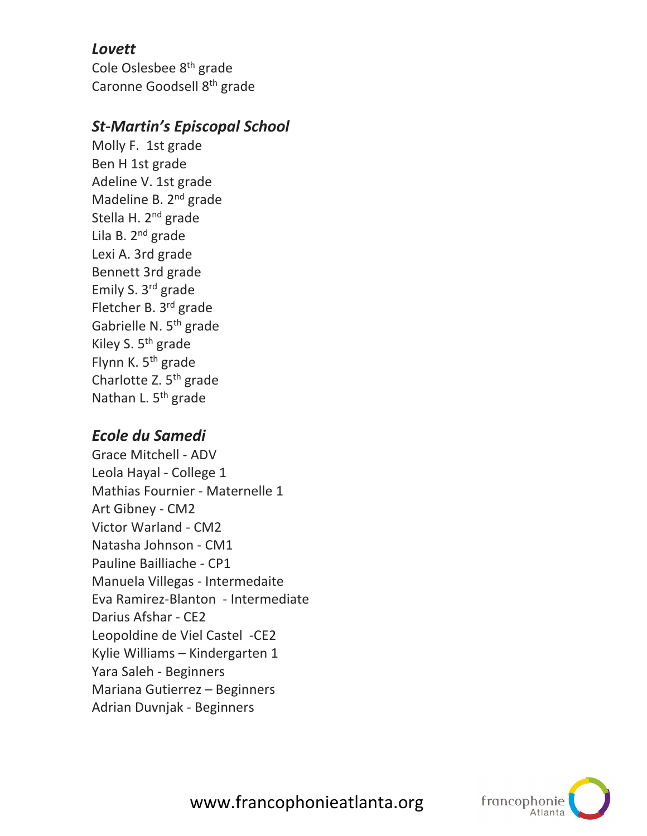#### *Lovett*

Cole Oslesbee 8th grade Caronne Goodsell 8th grade

### *St-Martin's Episcopal School*

Molly F. 1st grade Ben H 1st grade Adeline V. 1st grade Madeline B. 2<sup>nd</sup> grade Stella H. 2<sup>nd</sup> grade Lila B. 2<sup>nd</sup> grade Lexi A. 3rd grade Bennett 3rd grade Emily S. 3rd grade Fletcher B. 3rd grade Gabrielle N. 5th grade Kiley S.  $5<sup>th</sup>$  grade Flynn K. 5<sup>th</sup> grade Charlotte Z. 5<sup>th</sup> grade Nathan L. 5<sup>th</sup> grade

# *Ecole du Samedi*

Grace Mitchell - ADV Leola Hayal - College 1 Mathias Fournier - Maternelle 1 Art Gibney - CM2 Victor Warland - CM2 Natasha Johnson - CM1 Pauline Bailliache - CP1 Manuela Villegas - Intermedaite Eva Ramirez-Blanton - Intermediate Darius Afshar - CE2 Leopoldine de Viel Castel -CE2 Kylie Williams – Kindergarten 1 Yara Saleh - Beginners Mariana Gutierrez – Beginners Adrian Duvnjak - Beginners



www.francophonieatlanta.org